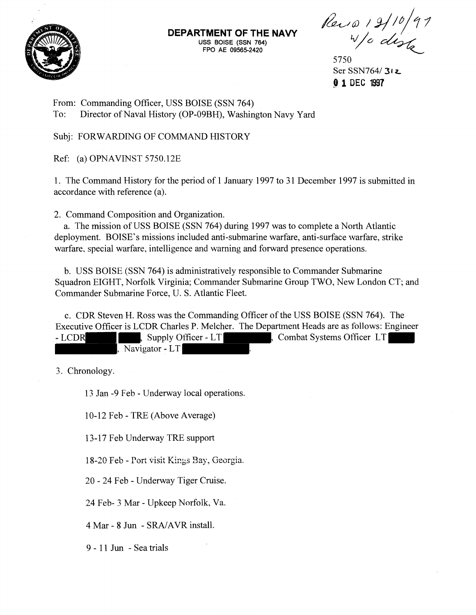

**DEPARTMENT OF THE NAVY USS BOISE (SSN 764) FPO AE 09565-2420** 

Rev 1 2/10/91

5750 Ser **SSN76413t r 0 1** DEC **<sup>1997</sup>**

From: Commanding Officer, USS BOISE (SSN 764) To: Director of Naval History (OP-09BH), Washington Navy Yard

Subj: FORWARDING OF COMMAND HISTORY

Ref: (a) OPNAVINST 5750.12E

1. The Command History for the period of 1 January 1997 to 31 December 1997 is submitted in accordance with reference (a).

2. Command Composition and Organization.

a. The mission of USS BOISE (SSN 764) during 1997 was to complete a North Atlantic deployment. BOISE'S missions included anti-submarine warfare, anti-surface warfare, strike warfare, special warfare, intelligence and warning and forward presence operations.

b. USS BOISE (SSN 764) is administratively responsible to Commander Submarine Squadron EIGHT, Norfolk Virginia; Commander Submarine Group TWO, New London CT; and Commander Submarine Force, U. S. Atlantic Fleet.

c. CDR Steven H. Ross was the Commanding Officer of the USS BOISE (SSN 764). The Executive Officer is LCDR Charles P. Melcher. The Department Heads are as follows: Engineer

| - LCDR | Supply Officer - LT | Combat Systems Officer LT |  |
|--------|---------------------|---------------------------|--|
|        | Navigator - LT      |                           |  |

3. Chronology.

13 Jan -9 Feb - Underway local operations.

10-12 Feb - TRE (Above Average)

1 3- 17 Feb Underway TRE support

18-20 Feb - Port visit Kings Bay, Georgia.

20 - 24 Feb - Underway Tiger Cruise.

24 Feb- 3 Mar - Upkeep Norfolk, Va.

4 Mar - 8 Jun - SRAJAVR install.

9 - 11 Jun - Sea trials